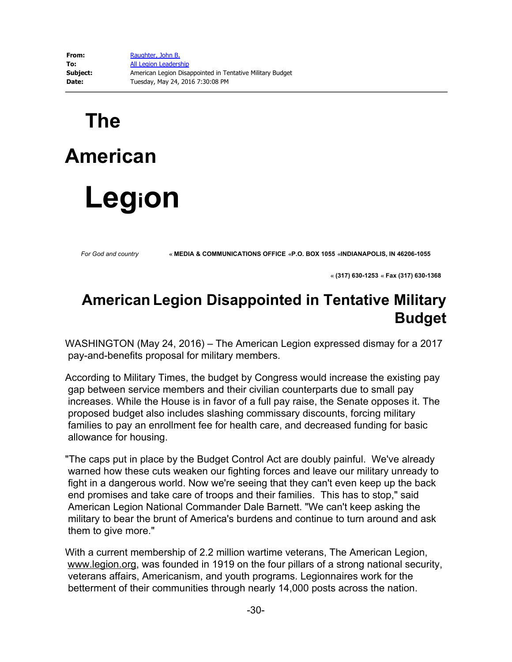## **The American Legion**

*For God and country* **« MEDIA & COMMUNICATIONS OFFICE «P.O. BOX <sup>1055</sup> «INDIANAPOLIS, IN 46206-1055**

 **« (317) 630-1253 « Fax (317) 630-1368** 

## **American Legion Disappointed in Tentative Military Budget**

WASHINGTON (May 24, 2016) – The American Legion expressed dismay for a 2017 pay-and-benefits proposal for military members.

According to Military Times, the budget by Congress would increase the existing pay gap between service members and their civilian counterparts due to small pay increases. While the House is in favor of a full pay raise, the Senate opposes it. The proposed budget also includes slashing commissary discounts, forcing military families to pay an enrollment fee for health care, and decreased funding for basic allowance for housing.

"The caps put in place by the Budget Control Act are doubly painful. We've already warned how these cuts weaken our fighting forces and leave our military unready to fight in a dangerous world. Now we're seeing that they can't even keep up the back end promises and take care of troops and their families. This has to stop," said American Legion National Commander Dale Barnett. "We can't keep asking the military to bear the brunt of America's burdens and continue to turn around and ask them to give more."

With a current membership of 2.2 million wartime veterans, The American Legion, www.legion.org, was founded in 1919 on the four pillars of a strong national security, veterans affairs, Americanism, and youth programs. Legionnaires work for the betterment of their communities through nearly 14,000 posts across the nation.